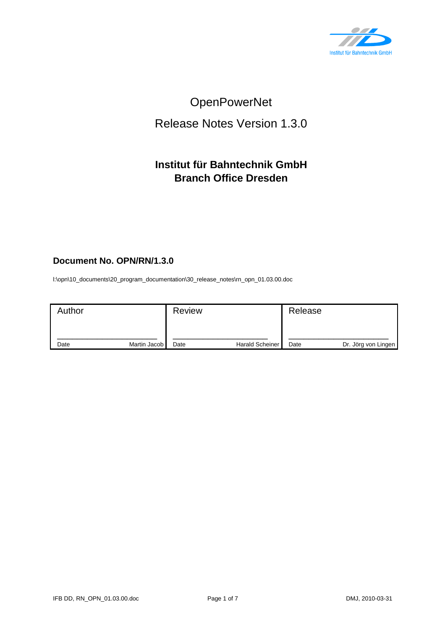

# OpenPowerNet

## Release Notes Version 1.3.0

## **Institut für Bahntechnik GmbH Branch Office Dresden**

## **Document No. OPN/RN/1.3.0**

l:\opn\10\_documents\20\_program\_documentation\30\_release\_notes\rn\_opn\_01.03.00.doc

| Author |              | <b>Review</b> |                        | Release |                     |
|--------|--------------|---------------|------------------------|---------|---------------------|
| Date   | Martin Jacob | Date          | <b>Harald Scheiner</b> | Date    | Dr. Jörg von Lingen |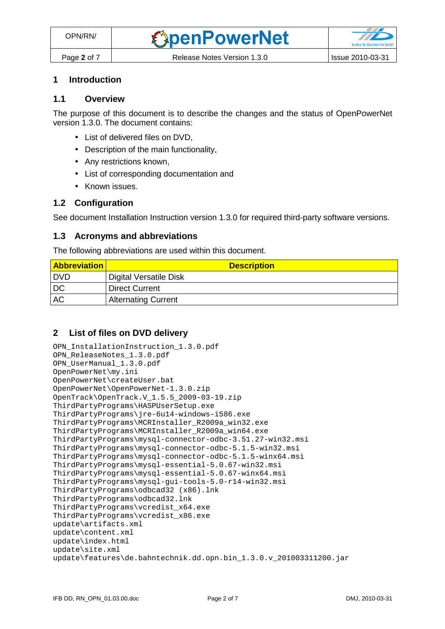#### **1 Introduction**

#### **1.1 Overview**

The purpose of this document is to describe the changes and the status of OpenPowerNet version 1.3.0. The document contains:

- List of delivered files on DVD,
- Description of the main functionality,
- Any restrictions known,
- List of corresponding documentation and
- Known issues.

#### **1.2 Configuration**

See document Installation Instruction version 1.3.0 for required third-party software versions.

#### **1.3 Acronyms and abbreviations**

The following abbreviations are used within this document.

| <b>Abbreviation</b> | <b>Description</b>         |
|---------------------|----------------------------|
| I DVD               | Digital Versatile Disk     |
| DC                  | <b>Direct Current</b>      |
| <b>AC</b>           | <b>Alternating Current</b> |

## **2 List of files on DVD delivery**

```
OPN_InstallationInstruction_1.3.0.pdf 
OPN_ReleaseNotes_1.3.0.pdf 
OPN_UserManual_1.3.0.pdf 
OpenPowerNet\my.ini 
OpenPowerNet\createUser.bat 
OpenPowerNet\OpenPowerNet-1.3.0.zip 
OpenTrack\OpenTrack.V_1.5.5_2009-03-19.zip 
ThirdPartyPrograms\HASPUserSetup.exe 
ThirdPartyPrograms\jre-6u14-windows-i586.exe 
ThirdPartyPrograms\MCRInstaller_R2009a_win32.exe 
ThirdPartyPrograms\MCRInstaller_R2009a_win64.exe 
ThirdPartyPrograms\mysql-connector-odbc-3.51.27-win32.msi 
ThirdPartyPrograms\mysql-connector-odbc-5.1.5-win32.msi 
ThirdPartyPrograms\mysql-connector-odbc-5.1.5-winx64.msi 
ThirdPartyPrograms\mysql-essential-5.0.67-win32.msi
ThirdPartyPrograms\mysql-essential-5.0.67-winx64.msi 
ThirdPartyPrograms\mysql-gui-tools-5.0-r14-win32.msi 
ThirdPartyPrograms\odbcad32 (x86).lnk 
ThirdPartyPrograms\odbcad32.lnk 
ThirdPartyPrograms\vcredist_x64.exe 
ThirdPartyPrograms\vcredist_x86.exe 
update\artifacts.xml 
update\content.xml 
update\index.html 
update\site.xml 
update\features\de.bahntechnik.dd.opn.bin_1.3.0.v_201003311200.jar
```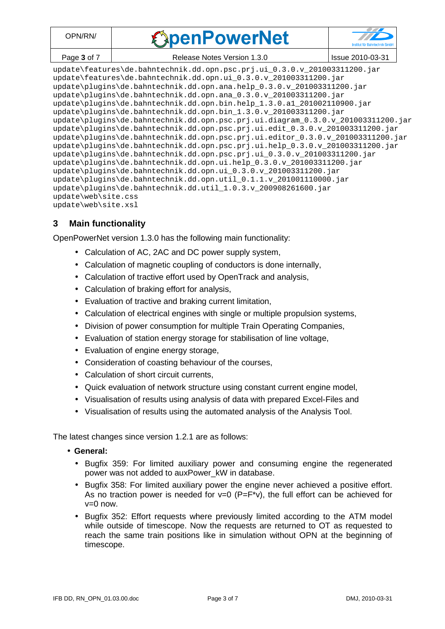| DPN/RN/     | <b><i><u>SpenPowerNet</u></i></b> |                  |
|-------------|-----------------------------------|------------------|
| Page 3 of 7 | Release Notes Version 1.3.0       | Issue 2010-03-31 |

update\features\de.bahntechnik.dd.opn.psc.prj.ui\_0.3.0.v\_201003311200.jar update\features\de.bahntechnik.dd.opn.ui\_0.3.0.v\_201003311200.jar update\plugins\de.bahntechnik.dd.opn.ana.help\_0.3.0.v\_201003311200.jar update\plugins\de.bahntechnik.dd.opn.ana\_0.3.0.v\_201003311200.jar update\plugins\de.bahntechnik.dd.opn.bin.help\_1.3.0.a1\_201002110900.jar update\plugins\de.bahntechnik.dd.opn.bin\_1.3.0.v\_201003311200.jar update\plugins\de.bahntechnik.dd.opn.psc.prj.ui.diagram\_0.3.0.v\_201003311200.jar update\plugins\de.bahntechnik.dd.opn.psc.prj.ui.edit 0.3.0.v 201003311200.jar update\plugins\de.bahntechnik.dd.opn.psc.prj.ui.editor 0.3.0.v 201003311200.jar update\plugins\de.bahntechnik.dd.opn.psc.prj.ui.help\_0.3.0.v\_201003311200.jar update\plugins\de.bahntechnik.dd.opn.psc.prj.ui\_0.3.0.v\_201003311200.jar update\plugins\de.bahntechnik.dd.opn.ui.help\_0.3.0.v\_201003311200.jar update\plugins\de.bahntechnik.dd.opn.ui\_0.3.0.v\_201003311200.jar update\plugins\de.bahntechnik.dd.opn.util\_0.1.1.v\_201001110000.jar update\plugins\de.bahntechnik.dd.util\_1.0.3.v\_200908261600.jar update\web\site.css update\web\site.xsl

## **3 Main functionality**

OpenPowerNet version 1.3.0 has the following main functionality:

- Calculation of AC, 2AC and DC power supply system,
- Calculation of magnetic coupling of conductors is done internally,
- Calculation of tractive effort used by OpenTrack and analysis,
- Calculation of braking effort for analysis,
- Evaluation of tractive and braking current limitation,
- Calculation of electrical engines with single or multiple propulsion systems,
- Division of power consumption for multiple Train Operating Companies,
- Evaluation of station energy storage for stabilisation of line voltage,
- Evaluation of engine energy storage,
- Consideration of coasting behaviour of the courses,
- Calculation of short circuit currents,
- Quick evaluation of network structure using constant current engine model,
- Visualisation of results using analysis of data with prepared Excel-Files and
- Visualisation of results using the automated analysis of the Analysis Tool.

The latest changes since version 1.2.1 are as follows:

- **General:** 
	- Bugfix 359: For limited auxiliary power and consuming engine the regenerated power was not added to auxPower\_kW in database.
	- Bugfix 358: For limited auxiliary power the engine never achieved a positive effort. As no traction power is needed for  $v=0$  (P=F<sup>\*</sup>v), the full effort can be achieved for  $v=0$  now.
	- Bugfix 352: Effort requests where previously limited according to the ATM model while outside of timescope. Now the requests are returned to OT as requested to reach the same train positions like in simulation without OPN at the beginning of timescope.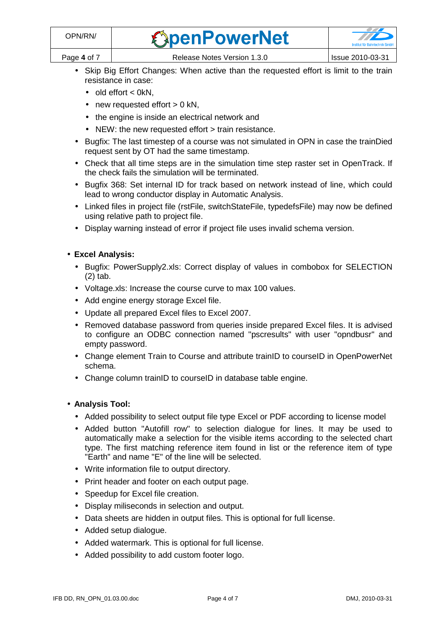| OPN/RN/     | <b><i><u>SpenPowerNet</u></i></b> |                  |
|-------------|-----------------------------------|------------------|
| Page 4 of 7 | Release Notes Version 1.3.0       | Issue 2010-03-31 |

- Skip Big Effort Changes: When active than the requested effort is limit to the train resistance in case:
	- $\bullet$  old effort  $<$  0kN.
	- new requested effort  $> 0$  kN,
	- the engine is inside an electrical network and
	- NEW: the new requested effort > train resistance.
- Bugfix: The last timestep of a course was not simulated in OPN in case the trainDied request sent by OT had the same timestamp.
- Check that all time steps are in the simulation time step raster set in OpenTrack. If the check fails the simulation will be terminated.
- Bugfix 368: Set internal ID for track based on network instead of line, which could lead to wrong conductor display in Automatic Analysis.
- Linked files in project file (rstFile, switchStateFile, typedefsFile) may now be defined using relative path to project file.
- Display warning instead of error if project file uses invalid schema version.

#### • **Excel Analysis:**

- Bugfix: PowerSupply2.xls: Correct display of values in combobox for SELECTION (2) tab.
- Voltage.xls: Increase the course curve to max 100 values.
- Add engine energy storage Excel file.
- Update all prepared Excel files to Excel 2007.
- Removed database password from queries inside prepared Excel files. It is advised to configure an ODBC connection named "pscresults" with user "opndbusr" and empty password.
- Change element Train to Course and attribute trainID to courseID in OpenPowerNet schema.
- Change column trainID to courseID in database table engine.

#### • **Analysis Tool:**

- Added possibility to select output file type Excel or PDF according to license model
- Added button "Autofill row" to selection dialogue for lines. It may be used to automatically make a selection for the visible items according to the selected chart type. The first matching reference item found in list or the reference item of type "Earth" and name "E" of the line will be selected.
- Write information file to output directory.
- Print header and footer on each output page.
- Speedup for Excel file creation.
- Display miliseconds in selection and output.
- Data sheets are hidden in output files. This is optional for full license.
- Added setup dialogue.
- Added watermark. This is optional for full license.
- Added possibility to add custom footer logo.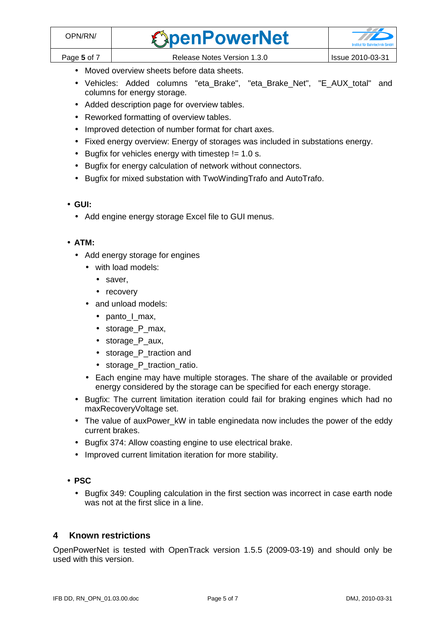- Moved overview sheets before data sheets.
- Vehicles: Added columns "eta\_Brake", "eta\_Brake\_Net", "E\_AUX\_total" and columns for energy storage.
- Added description page for overview tables.
- Reworked formatting of overview tables.
- Improved detection of number format for chart axes.
- Fixed energy overview: Energy of storages was included in substations energy.
- Bugfix for vehicles energy with timestep  $!= 1.0$  s.
- Bugfix for energy calculation of network without connectors.
- Bugfix for mixed substation with TwoWindingTrafo and AutoTrafo.

## • **GUI:**

• Add engine energy storage Excel file to GUI menus.

#### • **ATM:**

- Add energy storage for engines
	- with load models:
		- saver,
		- recovery
	- and unload models:
		- panto I max,
		- storage\_P\_max,
		- storage P aux,
		- storage\_P\_traction and
		- storage P traction ratio.
	- Each engine may have multiple storages. The share of the available or provided energy considered by the storage can be specified for each energy storage.
- Bugfix: The current limitation iteration could fail for braking engines which had no maxRecoveryVoltage set.
- The value of auxPower kW in table enginedata now includes the power of the eddy current brakes.
- Bugfix 374: Allow coasting engine to use electrical brake.
- Improved current limitation iteration for more stability.
- **PSC** 
	- Bugfix 349: Coupling calculation in the first section was incorrect in case earth node was not at the first slice in a line.

## **4 Known restrictions**

OpenPowerNet is tested with OpenTrack version 1.5.5 (2009-03-19) and should only be used with this version.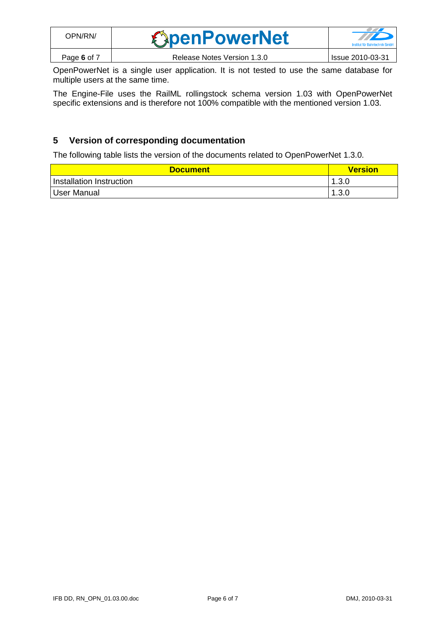| OPN/RN/     | <b><i><u>SpenPowerNet</u></i></b> | a de la propiedad de la caracción de la caracción de la caracción de la caracción de la caracción de<br>Institut für Bahntechnik GmbH |
|-------------|-----------------------------------|---------------------------------------------------------------------------------------------------------------------------------------|
| Page 6 of 7 | Release Notes Version 1.3.0       | Issue 2010-03-31                                                                                                                      |

OpenPowerNet is a single user application. It is not tested to use the same database for multiple users at the same time.

The Engine-File uses the RailML rollingstock schema version 1.03 with OpenPowerNet specific extensions and is therefore not 100% compatible with the mentioned version 1.03.

## **5 Version of corresponding documentation**

The following table lists the version of the documents related to OpenPowerNet 1.3.0.

| <b>Document</b>          | <b>Version</b> |
|--------------------------|----------------|
| Installation Instruction | 1.3.0          |
| User Manual              | 1.3.0<br>-1    |